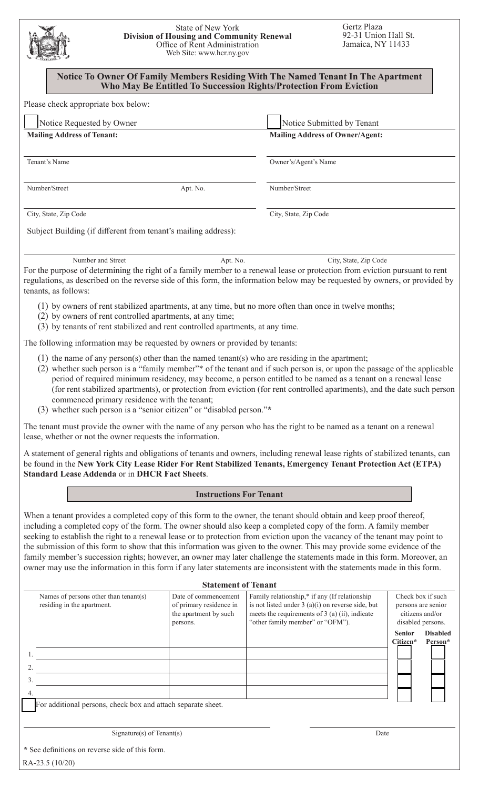| <b>State of New York</b><br><b>Division of Housing and Community Renewal</b><br>Office of Rent Administration<br>Web Site: www.hcr.ny.gov                                                                                                                                                                                                                                                                                                                                                                                                                                                                                                                                                                                                                   |                                                              |                                                                                                                                          | Gertz Plaza<br>92-31 Union Hall St.<br>Jamaica, NY 11433 |                                                            |  |
|-------------------------------------------------------------------------------------------------------------------------------------------------------------------------------------------------------------------------------------------------------------------------------------------------------------------------------------------------------------------------------------------------------------------------------------------------------------------------------------------------------------------------------------------------------------------------------------------------------------------------------------------------------------------------------------------------------------------------------------------------------------|--------------------------------------------------------------|------------------------------------------------------------------------------------------------------------------------------------------|----------------------------------------------------------|------------------------------------------------------------|--|
| Notice To Owner Of Family Members Residing With The Named Tenant In The Apartment<br>Who May Be Entitled To Succession Rights/Protection From Eviction                                                                                                                                                                                                                                                                                                                                                                                                                                                                                                                                                                                                      |                                                              |                                                                                                                                          |                                                          |                                                            |  |
| Please check appropriate box below:                                                                                                                                                                                                                                                                                                                                                                                                                                                                                                                                                                                                                                                                                                                         |                                                              |                                                                                                                                          |                                                          |                                                            |  |
| Notice Requested by Owner                                                                                                                                                                                                                                                                                                                                                                                                                                                                                                                                                                                                                                                                                                                                   | Notice Submitted by Tenant                                   |                                                                                                                                          |                                                          |                                                            |  |
| <b>Mailing Address of Tenant:</b>                                                                                                                                                                                                                                                                                                                                                                                                                                                                                                                                                                                                                                                                                                                           |                                                              |                                                                                                                                          | <b>Mailing Address of Owner/Agent:</b>                   |                                                            |  |
| Tenant's Name                                                                                                                                                                                                                                                                                                                                                                                                                                                                                                                                                                                                                                                                                                                                               |                                                              | Owner's/Agent's Name                                                                                                                     |                                                          |                                                            |  |
| Number/Street                                                                                                                                                                                                                                                                                                                                                                                                                                                                                                                                                                                                                                                                                                                                               | Apt. No.                                                     | Number/Street                                                                                                                            |                                                          |                                                            |  |
| City, State, Zip Code                                                                                                                                                                                                                                                                                                                                                                                                                                                                                                                                                                                                                                                                                                                                       |                                                              | City, State, Zip Code                                                                                                                    |                                                          |                                                            |  |
| Subject Building (if different from tenant's mailing address):                                                                                                                                                                                                                                                                                                                                                                                                                                                                                                                                                                                                                                                                                              |                                                              |                                                                                                                                          |                                                          |                                                            |  |
| Number and Street<br>For the purpose of determining the right of a family member to a renewal lease or protection from eviction pursuant to rent                                                                                                                                                                                                                                                                                                                                                                                                                                                                                                                                                                                                            | Apt. No.                                                     |                                                                                                                                          | City, State, Zip Code                                    |                                                            |  |
| regulations, as described on the reverse side of this form, the information below may be requested by owners, or provided by<br>tenants, as follows:                                                                                                                                                                                                                                                                                                                                                                                                                                                                                                                                                                                                        |                                                              |                                                                                                                                          |                                                          |                                                            |  |
| (1) by owners of rent stabilized apartments, at any time, but no more often than once in twelve months;<br>(2) by owners of rent controlled apartments, at any time;<br>(3) by tenants of rent stabilized and rent controlled apartments, at any time.                                                                                                                                                                                                                                                                                                                                                                                                                                                                                                      |                                                              |                                                                                                                                          |                                                          |                                                            |  |
| The following information may be requested by owners or provided by tenants:                                                                                                                                                                                                                                                                                                                                                                                                                                                                                                                                                                                                                                                                                |                                                              |                                                                                                                                          |                                                          |                                                            |  |
| $(1)$ the name of any person(s) other than the named tenant(s) who are residing in the apartment;<br>(2) whether such person is a "family member"* of the tenant and if such person is, or upon the passage of the applicable<br>period of required minimum residency, may become, a person entitled to be named as a tenant on a renewal lease<br>(for rent stabilized apartments), or protection from eviction (for rent controlled apartments), and the date such person<br>commenced primary residence with the tenant;<br>(3) whether such person is a "senior citizen" or "disabled person."*                                                                                                                                                         |                                                              |                                                                                                                                          |                                                          |                                                            |  |
| The tenant must provide the owner with the name of any person who has the right to be named as a tenant on a renewal<br>lease, whether or not the owner requests the information.                                                                                                                                                                                                                                                                                                                                                                                                                                                                                                                                                                           |                                                              |                                                                                                                                          |                                                          |                                                            |  |
| A statement of general rights and obligations of tenants and owners, including renewal lease rights of stabilized tenants, can<br>be found in the New York City Lease Rider For Rent Stabilized Tenants, Emergency Tenant Protection Act (ETPA)<br><b>Standard Lease Addenda or in DHCR Fact Sheets.</b>                                                                                                                                                                                                                                                                                                                                                                                                                                                    |                                                              |                                                                                                                                          |                                                          |                                                            |  |
| <b>Instructions For Tenant</b>                                                                                                                                                                                                                                                                                                                                                                                                                                                                                                                                                                                                                                                                                                                              |                                                              |                                                                                                                                          |                                                          |                                                            |  |
| When a tenant provides a completed copy of this form to the owner, the tenant should obtain and keep proof thereof,<br>including a completed copy of the form. The owner should also keep a completed copy of the form. A family member<br>seeking to establish the right to a renewal lease or to protection from eviction upon the vacancy of the tenant may point to<br>the submission of this form to show that this information was given to the owner. This may provide some evidence of the<br>family member's succession rights; however, an owner may later challenge the statements made in this form. Moreover, an<br>owner may use the information in this form if any later statements are inconsistent with the statements made in this form. | <b>Statement of Tenant</b>                                   |                                                                                                                                          |                                                          |                                                            |  |
| Names of persons other than tenant(s)                                                                                                                                                                                                                                                                                                                                                                                                                                                                                                                                                                                                                                                                                                                       | Date of commencement                                         | Family relationship,* if any (If relationship                                                                                            |                                                          | Check box if such                                          |  |
| residing in the apartment.                                                                                                                                                                                                                                                                                                                                                                                                                                                                                                                                                                                                                                                                                                                                  | of primary residence in<br>the apartment by such<br>persons. | is not listed under $3(a)(i)$ on reverse side, but<br>meets the requirements of 3 (a) (ii), indicate<br>"other family member" or "OFM"). |                                                          | persons are senior<br>citizens and/or<br>disabled persons. |  |
|                                                                                                                                                                                                                                                                                                                                                                                                                                                                                                                                                                                                                                                                                                                                                             |                                                              |                                                                                                                                          |                                                          | <b>Senior</b><br><b>Disabled</b><br>Citizen*<br>Person*    |  |
|                                                                                                                                                                                                                                                                                                                                                                                                                                                                                                                                                                                                                                                                                                                                                             |                                                              |                                                                                                                                          |                                                          |                                                            |  |
|                                                                                                                                                                                                                                                                                                                                                                                                                                                                                                                                                                                                                                                                                                                                                             |                                                              |                                                                                                                                          |                                                          |                                                            |  |
| 3.                                                                                                                                                                                                                                                                                                                                                                                                                                                                                                                                                                                                                                                                                                                                                          |                                                              |                                                                                                                                          |                                                          |                                                            |  |
|                                                                                                                                                                                                                                                                                                                                                                                                                                                                                                                                                                                                                                                                                                                                                             |                                                              |                                                                                                                                          |                                                          |                                                            |  |

For additional persons, check box and attach separate sheet.

Signature(s) of Tenant(s) Date

 RA-23.5 (10/20) **\*** See definitions on reverse side of this form.